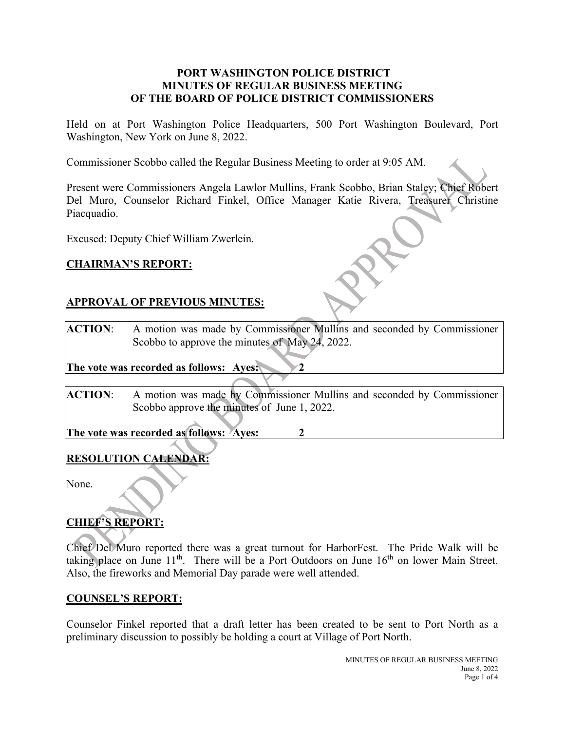### **PORT WASHINGTON POLICE DISTRICT MINUTES OF REGULAR BUSINESS MEETING OF THE BOARD OF POLICE DISTRICT COMMISSIONERS**

Held on at Port Washington Police Headquarters, 500 Port Washington Boulevard, Port Washington, New York on June 8, 2022.

Commissioner Scobbo called the Regular Business Meeting to order at 9:05 AM.

Present were Commissioners Angela Lawlor Mullins, Frank Scobbo, Brian Staley; Chief Robert Del Muro, Counselor Richard Finkel, Office Manager Katie Rivera, Treasurer Christine Piacquadio.

Excused: Deputy Chief William Zwerlein.

## **CHAIRMAN'S REPORT:**

## **APPROVAL OF PREVIOUS MINUTES:**

**ACTION**: A motion was made by Commissioner Mullins and seconded by Commissioner Scobbo to approve the minutes of May 24, 2022.

**The vote was recorded as follows: Ayes: 2** 

**ACTION**: A motion was made by Commissioner Mullins and seconded by Commissioner Scobbo approve the minutes of June 1, 2022.

**The vote was recorded as follows: Ayes: 2**

## **RESOLUTION CALENDAR:**

None.

# **CHIEF'S REPORT:**

Chief Del Muro reported there was a great turnout for HarborFest. The Pride Walk will be taking place on June  $11<sup>th</sup>$ . There will be a Port Outdoors on June  $16<sup>th</sup>$  on lower Main Street. Also, the fireworks and Memorial Day parade were well attended.

#### **COUNSEL'S REPORT:**

Counselor Finkel reported that a draft letter has been created to be sent to Port North as a preliminary discussion to possibly be holding a court at Village of Port North.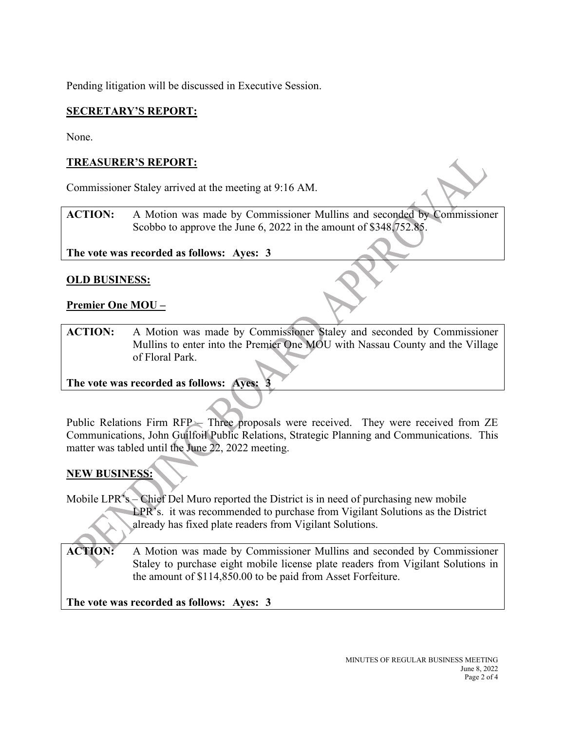Pending litigation will be discussed in Executive Session.

## **SECRETARY'S REPORT:**

None.

# **TREASURER'S REPORT:**

Commissioner Staley arrived at the meeting at 9:16 AM.

**ACTION:** A Motion was made by Commissioner Mullins and seconded by Commissioner Scobbo to approve the June 6, 2022 in the amount of \$348,752.85.

**The vote was recorded as follows: Ayes: 3**

## **OLD BUSINESS:**

## **Premier One MOU –**

**ACTION:** A Motion was made by Commissioner Staley and seconded by Commissioner Mullins to enter into the Premier One MOU with Nassau County and the Village of Floral Park.

**The vote was recorded as follows: Ayes: 3**

Public Relations Firm RFP – Three proposals were received. They were received from ZE Communications, John Guilfoil Public Relations, Strategic Planning and Communications. This matter was tabled until the June 22, 2022 meeting.

# **NEW BUSINESS:**

Mobile LPR's – Chief Del Muro reported the District is in need of purchasing new mobile LPR's. it was recommended to purchase from Vigilant Solutions as the District already has fixed plate readers from Vigilant Solutions.

**ACTION:** A Motion was made by Commissioner Mullins and seconded by Commissioner Staley to purchase eight mobile license plate readers from Vigilant Solutions in the amount of \$114,850.00 to be paid from Asset Forfeiture.

**The vote was recorded as follows: Ayes: 3**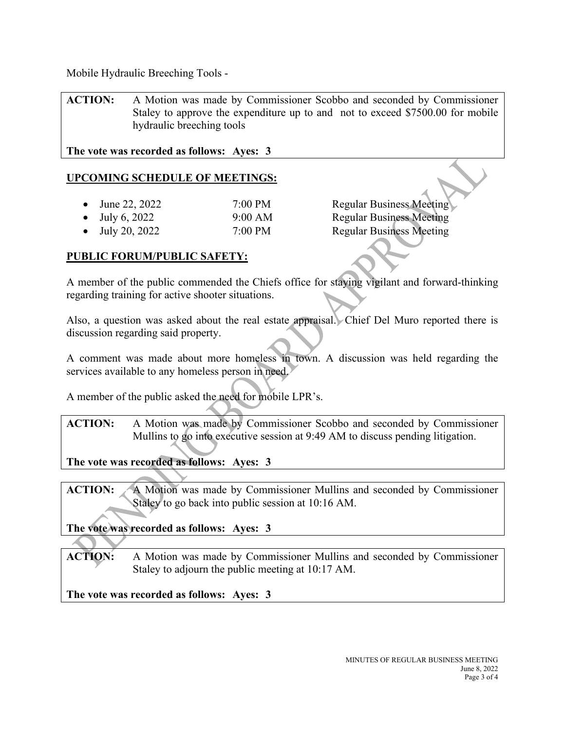Mobile Hydraulic Breeching Tools -

**ACTION:** A Motion was made by Commissioner Scobbo and seconded by Commissioner Staley to approve the expenditure up to and not to exceed \$7500.00 for mobile hydraulic breeching tools

**The vote was recorded as follows: Ayes: 3**

## **UPCOMING SCHEDULE OF MEETINGS:**

- June 22, 2022 7:00 PM Regular Business Meeting
- 

• July 6, 2022 9:00 AM Regular Business Meeting • July 20, 2022 7:00 PM Regular Business Meeting

### **PUBLIC FORUM/PUBLIC SAFETY:**

A member of the public commended the Chiefs office for staying vigilant and forward-thinking regarding training for active shooter situations.

Also, a question was asked about the real estate appraisal. Chief Del Muro reported there is discussion regarding said property.

A comment was made about more homeless in town. A discussion was held regarding the services available to any homeless person in need.

A member of the public asked the need for mobile LPR's.

**ACTION:** A Motion was made by Commissioner Scobbo and seconded by Commissioner Mullins to go into executive session at 9:49 AM to discuss pending litigation.

**The vote was recorded as follows: Ayes: 3**

**ACTION:** A Motion was made by Commissioner Mullins and seconded by Commissioner Staley to go back into public session at 10:16 AM.

**The vote was recorded as follows: Ayes: 3**

**ACTION:** A Motion was made by Commissioner Mullins and seconded by Commissioner Staley to adjourn the public meeting at 10:17 AM.

**The vote was recorded as follows: Ayes: 3**